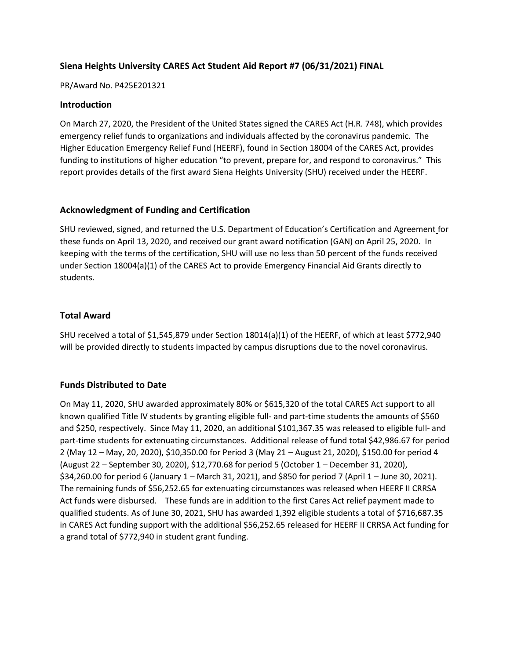# **Siena Heights University CARES Act Student Aid Report #7 (06/31/2021) FINAL**

#### PR/Award No. P425E201321

#### **Introduction**

On March 27, 2020, the President of the United States signed the CARES Act (H.R. 748), which provides emergency relief funds to organizations and individuals affected by the coronavirus pandemic. The Higher Education Emergency Relief Fund (HEERF), found in Section 18004 of the CARES Act, provides funding to institutions of higher education "to prevent, prepare for, and respond to coronavirus." This report provides details of the first award Siena Heights University (SHU) received under the HEERF.

#### **Acknowledgment of Funding and Certification**

SHU reviewed, signed, and returned the U.S. Department of Education's Certification and Agreement for these funds on April 13, 2020, and received our grant award notification (GAN) on April 25, 2020. In keeping with the terms of the certification, SHU will use no less than 50 percent of the funds received under Section 18004(a)(1) of the CARES Act to provide Emergency Financial Aid Grants directly to students.

#### **Total Award**

SHU received a total of \$1,545,879 under Section 18014(a)(1) of the HEERF, of which at least \$772,940 will be provided directly to students impacted by campus disruptions due to the novel coronavirus.

## **Funds Distributed to Date**

On May 11, 2020, SHU awarded approximately 80% or \$615,320 of the total CARES Act support to all known qualified Title IV students by granting eligible full- and part-time students the amounts of \$560 and \$250, respectively. Since May 11, 2020, an additional \$101,367.35 was released to eligible full- and part-time students for extenuating circumstances. Additional release of fund total \$42,986.67 for period 2 (May 12 – May, 20, 2020), \$10,350.00 for Period 3 (May 21 – August 21, 2020), \$150.00 for period 4 (August 22 – September 30, 2020), \$12,770.68 for period 5 (October 1 – December 31, 2020), \$34,260.00 for period 6 (January 1 – March 31, 2021), and \$850 for period 7 (April 1 – June 30, 2021). The remaining funds of \$56,252.65 for extenuating circumstances was released when HEERF II CRRSA Act funds were disbursed. These funds are in addition to the first Cares Act relief payment made to qualified students. As of June 30, 2021, SHU has awarded 1,392 eligible students a total of \$716,687.35 in CARES Act funding support with the additional \$56,252.65 released for HEERF II CRRSA Act funding for a grand total of \$772,940 in student grant funding.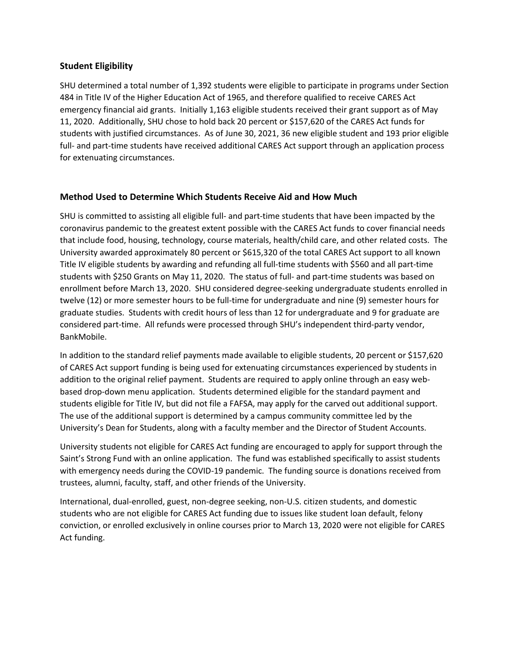## **Student Eligibility**

SHU determined a total number of 1,392 students were eligible to participate in programs under Section 484 in Title IV of the Higher Education Act of 1965, and therefore qualified to receive CARES Act emergency financial aid grants. Initially 1,163 eligible students received their grant support as of May 11, 2020. Additionally, SHU chose to hold back 20 percent or \$157,620 of the CARES Act funds for students with justified circumstances. As of June 30, 2021, 36 new eligible student and 193 prior eligible full- and part-time students have received additional CARES Act support through an application process for extenuating circumstances.

#### **Method Used to Determine Which Students Receive Aid and How Much**

SHU is committed to assisting all eligible full- and part-time students that have been impacted by the coronavirus pandemic to the greatest extent possible with the CARES Act funds to cover financial needs that include food, housing, technology, course materials, health/child care, and other related costs. The University awarded approximately 80 percent or \$615,320 of the total CARES Act support to all known Title IV eligible students by awarding and refunding all full-time students with \$560 and all part-time students with \$250 Grants on May 11, 2020. The status of full- and part-time students was based on enrollment before March 13, 2020. SHU considered degree-seeking undergraduate students enrolled in twelve (12) or more semester hours to be full-time for undergraduate and nine (9) semester hours for graduate studies. Students with credit hours of less than 12 for undergraduate and 9 for graduate are considered part-time. All refunds were processed through SHU's independent third-party vendor, BankMobile.

In addition to the standard relief payments made available to eligible students, 20 percent or \$157,620 of CARES Act support funding is being used for extenuating circumstances experienced by students in addition to the original relief payment. Students are required to apply online through an easy webbased drop-down menu application. Students determined eligible for the standard payment and students eligible for Title IV, but did not file a FAFSA, may apply for the carved out additional support. The use of the additional support is determined by a campus community committee led by the University's Dean for Students, along with a faculty member and the Director of Student Accounts.

University students not eligible for CARES Act funding are encouraged to apply for support through the Saint's Strong Fund with an online application. The fund was established specifically to assist students with emergency needs during the COVID-19 pandemic. The funding source is donations received from trustees, alumni, faculty, staff, and other friends of the University.

International, dual-enrolled, guest, non-degree seeking, non-U.S. citizen students, and domestic students who are not eligible for CARES Act funding due to issues like student loan default, felony conviction, or enrolled exclusively in online courses prior to March 13, 2020 were not eligible for CARES Act funding.